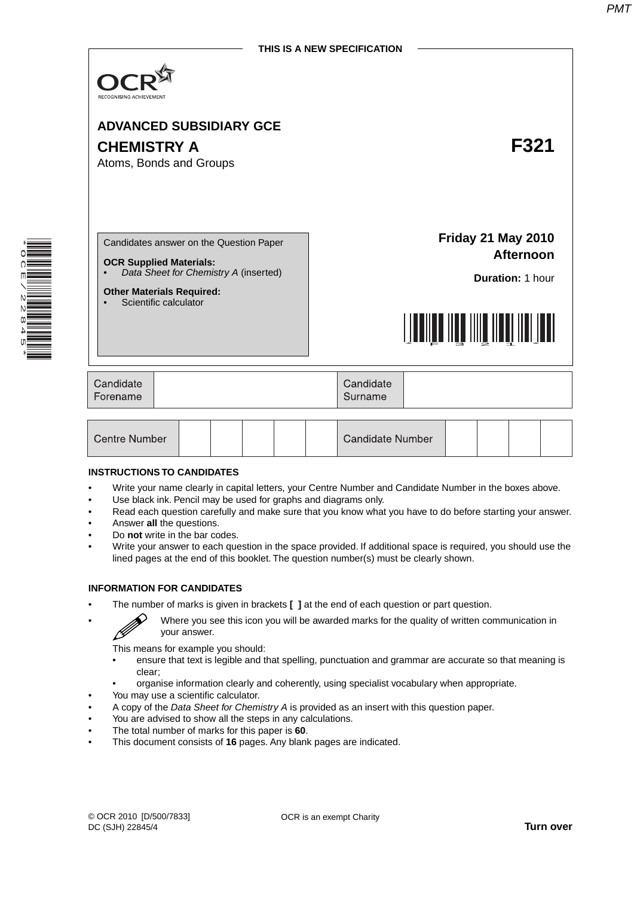

| Centre Number<br><b>Candidate Number</b> |
|------------------------------------------|
|------------------------------------------|

#### **INSTRUCTIONS TO CANDIDATES**

\* O C  $\vert \vec{r} \vert$  $\overline{\phantom{0}}$ N<br>N  $\infty$ 4 5 \*

- Write your name clearly in capital letters, your Centre Number and Candidate Number in the boxes above.
- Use black ink. Pencil may be used for graphs and diagrams only.
- Read each question carefully and make sure that you know what you have to do before starting your answer.
- Answer **all** the questions.
- Do **not** write in the bar codes.
- Write your answer to each question in the space provided. If additional space is required, you should use the lined pages at the end of this booklet. The question number(s) must be clearly shown.

#### **INFORMATION FOR CANDIDATES**

B

• The number of marks is given in brackets **[ ]** at the end of each question or part question.

• Where you see this icon you will be awarded marks for the quality of written communication in your answer.

This means for example you should:

- ensure that text is legible and that spelling, punctuation and grammar are accurate so that meaning is clear;
- organise information clearly and coherently, using specialist vocabulary when appropriate.
- You may use a scientific calculator.
- A copy of the *Data Sheet for Chemistry A* is provided as an insert with this question paper.
- You are advised to show all the steps in any calculations.
- The total number of marks for this paper is **60**.
- This document consists of **16** pages. Any blank pages are indicated.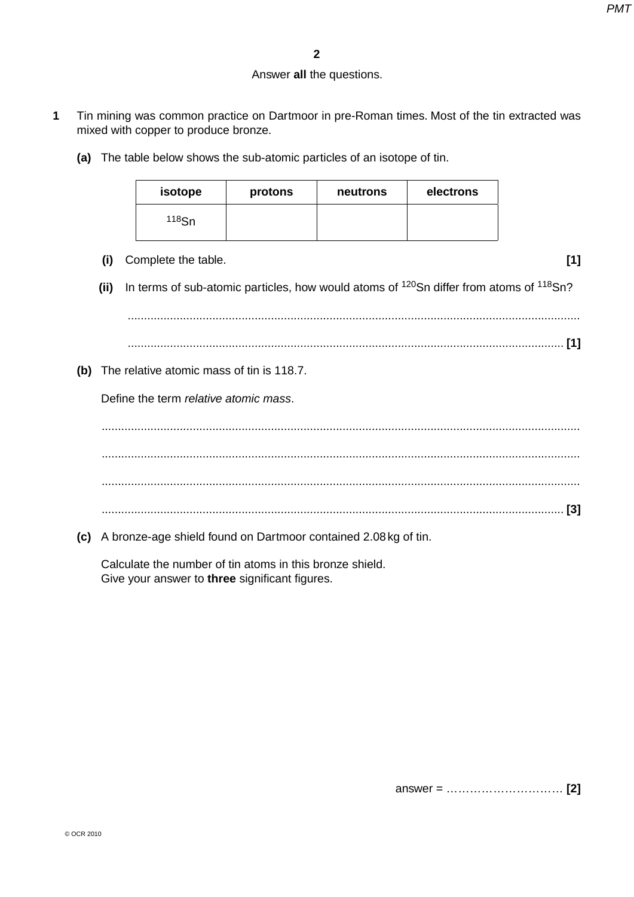## Answer **all** the questions.

- **1** Tin mining was common practice on Dartmoor in pre-Roman times. Most of the tin extracted was mixed with copper to produce bronze.
	- **(a)** The table below shows the sub-atomic particles of an isotope of tin.

| isotope  | protons | neutrons | electrons |
|----------|---------|----------|-----------|
| $118$ Sn |         |          |           |

 **(i)** Complete the table. **[1]**

**(ii)** In terms of sub-atomic particles, how would atoms of <sup>120</sup>Sn differ from atoms of <sup>118</sup>Sn?

 ........................................................................................................................................... ...................................................................................................................................... **[1]**

 **(b)** The relative atomic mass of tin is 118.7.

Define the term *relative atomic mass*.

 ................................................................................................................................................... ................................................................................................................................................... ................................................................................................................................................... .............................................................................................................................................. **[3]**

 **(c)** A bronze-age shield found on Dartmoor contained 2.08 kg of tin.

Calculate the number of tin atoms in this bronze shield. Give your answer to **three** significant figures.

answer = ………………………… **[2]**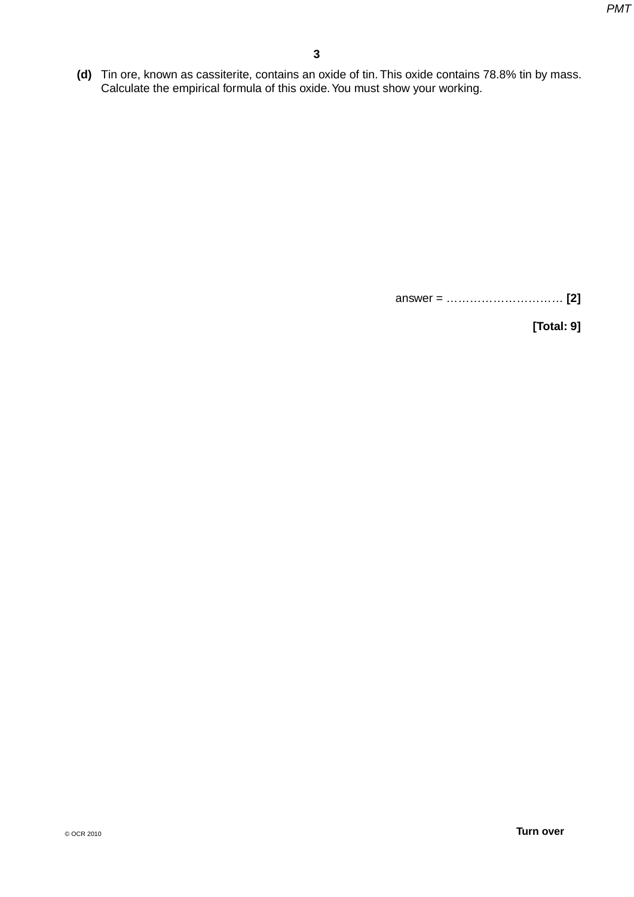**(d)** Tin ore, known as cassiterite, contains an oxide of tin. This oxide contains 78.8% tin by mass. Calculate the empirical formula of this oxide. You must show your working.

answer = ………………………… **[2]**

**[Total: 9]**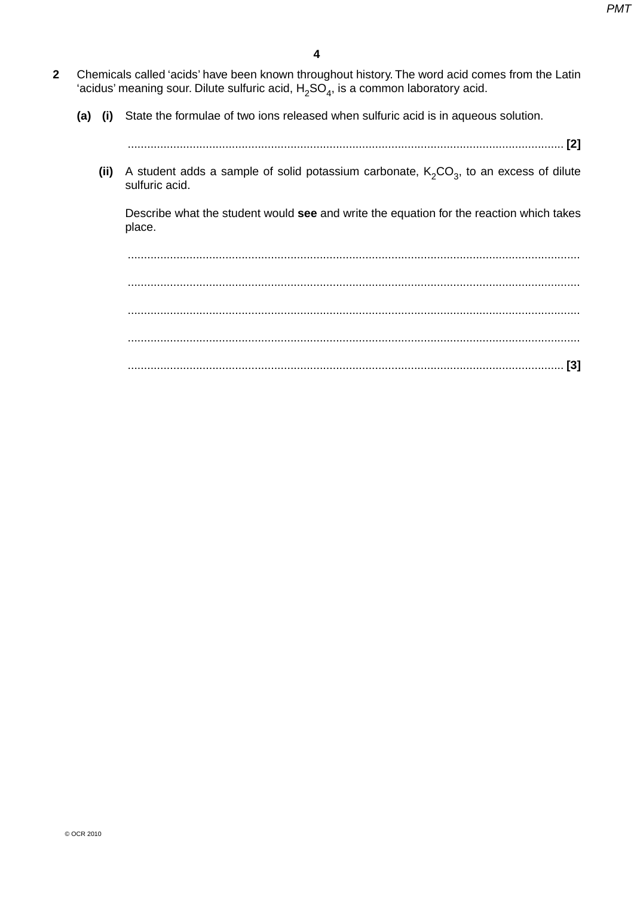- **2** Chemicals called 'acids' have been known throughout history. The word acid comes from the Latin 'acidus' meaning sour. Dilute sulfuric acid,  $H_2SO_4$ , is a common laboratory acid.
	- **(a) (i)** State the formulae of two ions released when sulfuric acid is in aqueous solution.

...................................................................................................................................... **[2]**

(ii) A student adds a sample of solid potassium carbonate,  $K_2CO_3$ , to an excess of dilute sulfuric acid.

Describe what the student would **see** and write the equation for the reaction which takes place.

 ........................................................................................................................................... ........................................................................................................................................... ........................................................................................................................................... ........................................................................................................................................... ...................................................................................................................................... **[3]**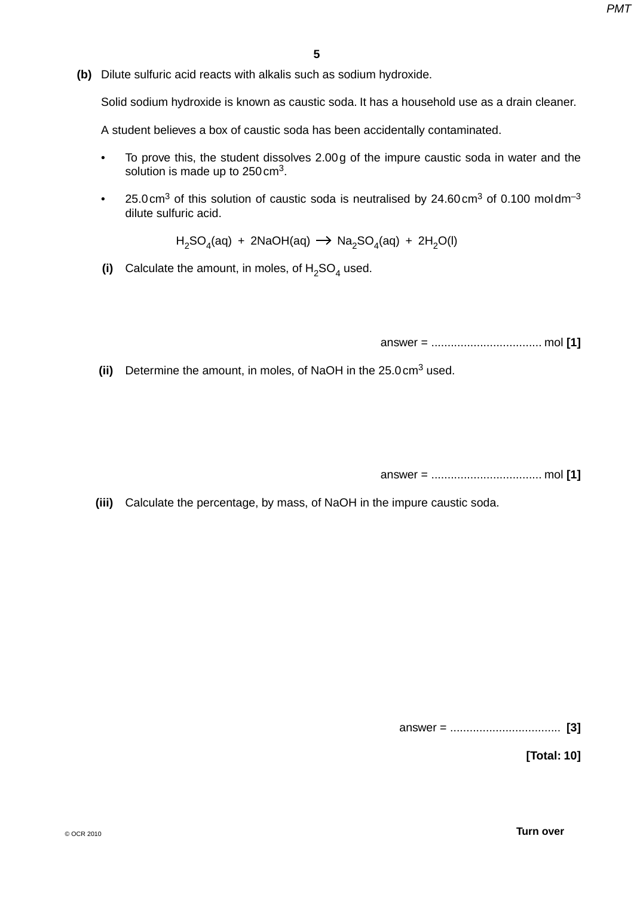**(b)** Dilute sulfuric acid reacts with alkalis such as sodium hydroxide.

Solid sodium hydroxide is known as caustic soda. It has a household use as a drain cleaner.

A student believes a box of caustic soda has been accidentally contaminated.

- To prove this, the student dissolves 2.00 g of the impure caustic soda in water and the solution is made up to  $250 \text{ cm}^3$ .
- 25.0 cm<sup>3</sup> of this solution of caustic soda is neutralised by 24.60 cm<sup>3</sup> of 0.100 moldm<sup>-3</sup> dilute sulfuric acid.

 $H_2SO_4(aq) + 2NaOH(aq) \rightarrow Na_2SO_4(aq) + 2H_2O(l)$ 

(i) Calculate the amount, in moles, of  $H_2SO_4$  used.

answer = .................................. mol **[1]**

**(ii)** Determine the amount, in moles, of NaOH in the 25.0 cm<sup>3</sup> used.

answer = .................................. mol **[1]**

 **(iii)** Calculate the percentage, by mass, of NaOH in the impure caustic soda.

answer = .................................. **[3]**

**[Total: 10]**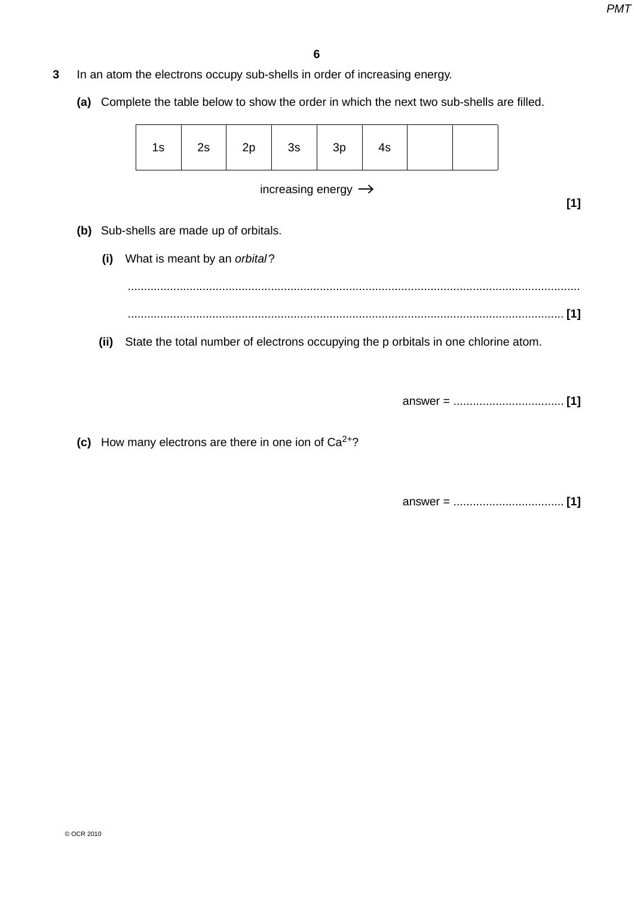- **3** In an atom the electrons occupy sub-shells in order of increasing energy.
	- **(a)** Complete the table below to show the order in which the next two sub-shells are filled.

| - 10 | ںے |  | 2c<br>၁၁ | ົ<br>∼ | ᠇ᢀ |  |  |
|------|----|--|----------|--------|----|--|--|
|------|----|--|----------|--------|----|--|--|

#### increasing energy  $\rightarrow$

**[1]**

- **(b)** Sub-shells are made up of orbitals.
	- **(i)** What is meant by an *orbital* ?

 ........................................................................................................................................... ...................................................................................................................................... **[1]**

 **(ii)** State the total number of electrons occupying the p orbitals in one chlorine atom.

answer = .................................. **[1]**

**(c)** How many electrons are there in one ion of  $Ca^{2+}$ ?

answer = .................................. **[1]**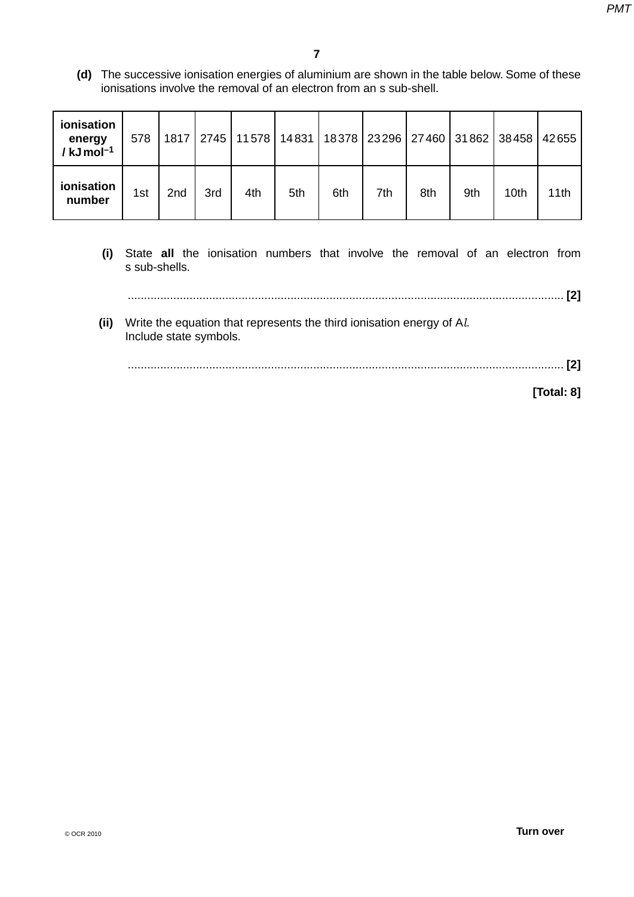**(d)** The successive ionisation energies of aluminium are shown in the table below. Some of these ionisations involve the removal of an electron from an s sub-shell.

| ionisation<br>energy<br>/ $kJ$ mol <sup>-1</sup> | 578 |                 | 1817   2745 |     |     | 11 578   14 831   18 378   23 296   27 460   31 862   38 458 |     |     |     |      | 42655 |
|--------------------------------------------------|-----|-----------------|-------------|-----|-----|--------------------------------------------------------------|-----|-----|-----|------|-------|
| ionisation<br>number                             | 1st | 2 <sub>nd</sub> | 3rd         | 4th | 5th | 6th                                                          | 7th | 8th | 9th | 10th | 11th  |

 **(i)** State **all** the ionisation numbers that involve the removal of an electron from s sub-shells.

...................................................................................................................................... **[2]**

 **(ii)** Write the equation that represents the third ionisation energy of A*l*. Include state symbols.

...................................................................................................................................... **[2]**

**[Total: 8]**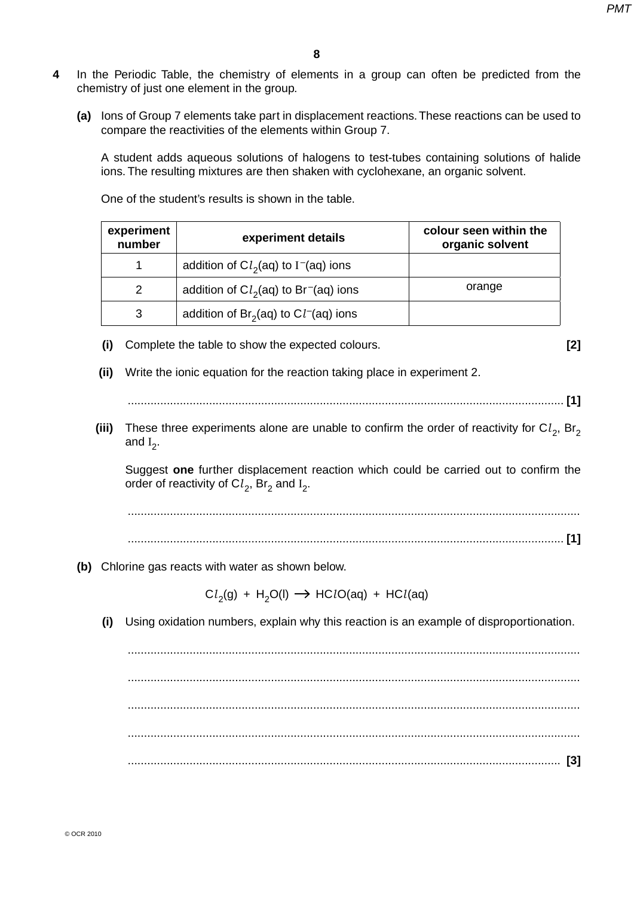- **4** In the Periodic Table, the chemistry of elements in a group can often be predicted from the chemistry of just one element in the group.
	- **(a)** Ions of Group 7 elements take part in displacement reactions. These reactions can be used to compare the reactivities of the elements within Group 7.

A student adds aqueous solutions of halogens to test-tubes containing solutions of halide ions. The resulting mixtures are then shaken with cyclohexane, an organic solvent.

One of the student's results is shown in the table.

| experiment<br>number | experiment details                                 | colour seen within the<br>organic solvent |
|----------------------|----------------------------------------------------|-------------------------------------------|
| 1                    | addition of $Cl2(aq)$ to I <sup>-</sup> (aq) ions  |                                           |
| 2                    | addition of $Cl2(aq)$ to Br <sup>-</sup> (aq) ions | orange                                    |
| 3                    | addition of $Br2(aq)$ to $Cl-(aq)$ ions            |                                           |

 **(i)** Complete the table to show the expected colours. **[2]**

 **(ii)** Write the ionic equation for the reaction taking place in experiment 2.

**(iii)** These three experiments alone are unable to confirm the order of reactivity for  $Cl_2$ , Br<sub>2</sub> and  $I_2$ .

Suggest **one** further displacement reaction which could be carried out to confirm the order of reactivity of  $\text{C}l_2$ , Br<sub>2</sub> and I<sub>2</sub>.

 ........................................................................................................................................... ...................................................................................................................................... **[1]**

 **(b)** Chlorine gas reacts with water as shown below.

 $Cl_2(g) + H_2O(l) \rightarrow HClO(aq) + HCl(aq)$ 

 **(i)** Using oxidation numbers, explain why this reaction is an example of disproportionation.

 ........................................................................................................................................... ........................................................................................................................................... ........................................................................................................................................... ........................................................................................................................................... ..................................................................................................................................... **[3]**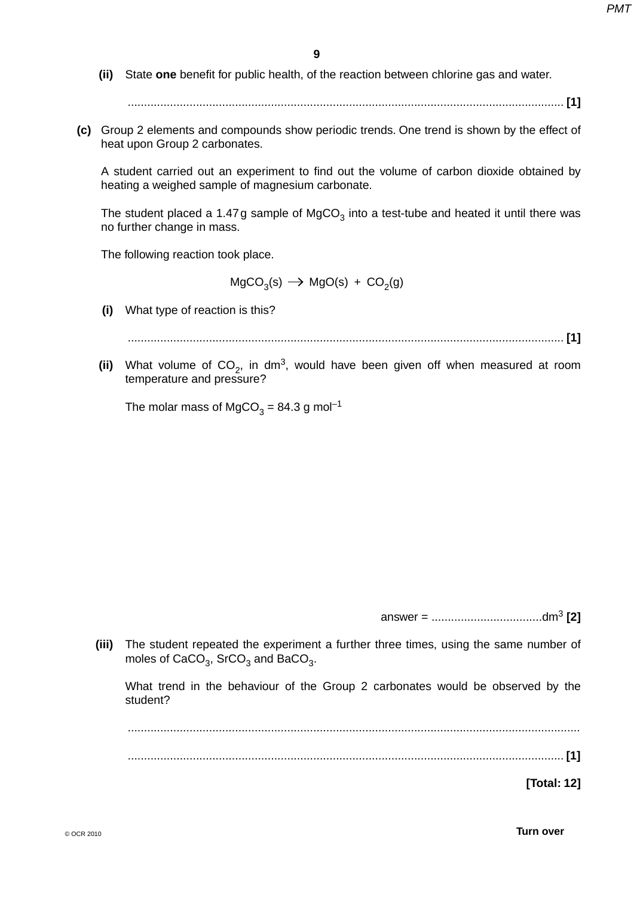**(ii)** State **one** benefit for public health, of the reaction between chlorine gas and water.

...................................................................................................................................... **[1]**

 **(c)** Group 2 elements and compounds show periodic trends. One trend is shown by the effect of heat upon Group 2 carbonates.

A student carried out an experiment to find out the volume of carbon dioxide obtained by heating a weighed sample of magnesium carbonate.

The student placed a 1.47g sample of  $MgCO<sub>3</sub>$  into a test-tube and heated it until there was no further change in mass.

The following reaction took place.

 $MgCO<sub>3</sub>(s) \rightarrow MgO(s) + CO<sub>2</sub>(g)$ 

 **(i)** What type of reaction is this?

...................................................................................................................................... **[1]**

(ii) What volume of  $CO<sub>2</sub>$ , in dm<sup>3</sup>, would have been given off when measured at room temperature and pressure?

The molar mass of MgCO<sub>3</sub> = 84.3 g mol<sup>-1</sup>

answer = ..................................dm<sup>3</sup> **[2]**

 **(iii)** The student repeated the experiment a further three times, using the same number of moles of  $CaCO<sub>3</sub>$ , SrCO<sub>3</sub> and BaCO<sub>3</sub>.

What trend in the behaviour of the Group 2 carbonates would be observed by the student?

 ........................................................................................................................................... ...................................................................................................................................... **[1]**

**[Total: 12]**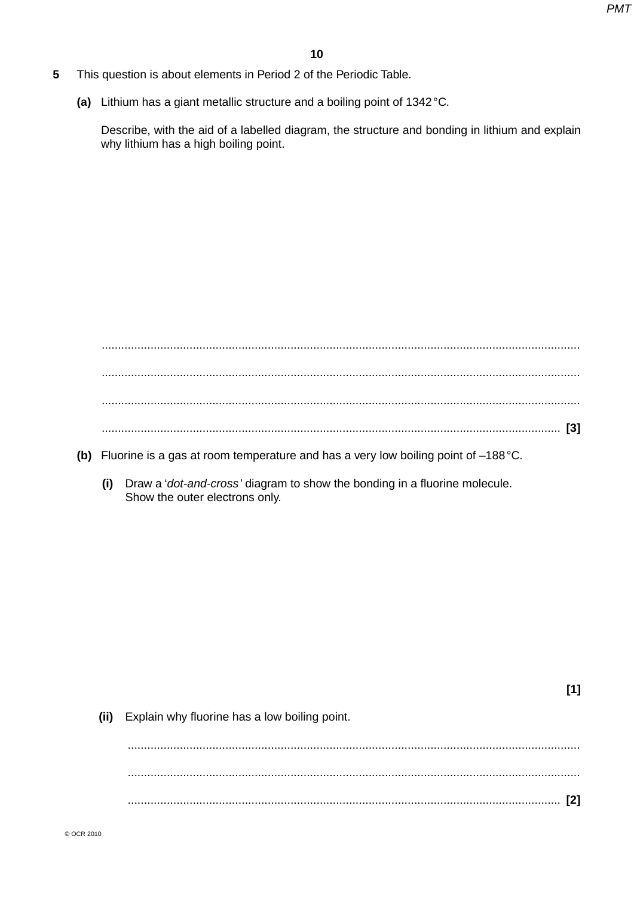$[1]$ 

- 5 This question is about elements in Period 2 of the Periodic Table.
	- (a) Lithium has a giant metallic structure and a boiling point of 1342 °C.

Describe, with the aid of a labelled diagram, the structure and bonding in lithium and explain why lithium has a high boiling point.

- (b) Fluorine is a gas at room temperature and has a very low boiling point of  $-188$  °C.
	- (i) Draw a 'dot-and-cross' diagram to show the bonding in a fluorine molecule. Show the outer electrons only.

(ii) Explain why fluorine has a low boiling point.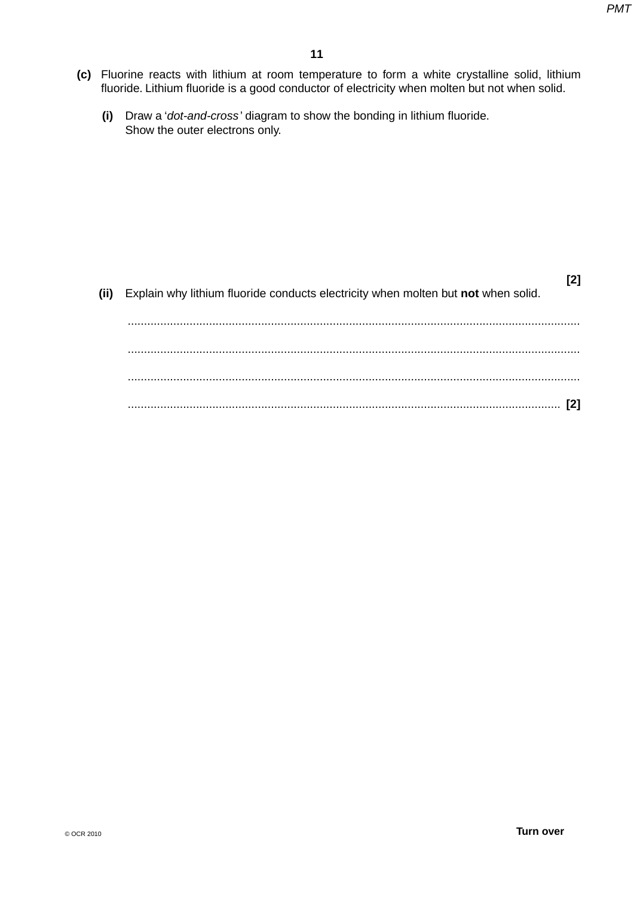- **(c)** Fluorine reacts with lithium at room temperature to form a white crystalline solid, lithium fluoride. Lithium fluoride is a good conductor of electricity when molten but not when solid.
	- **(i)** Draw a '*dot-and-cross* ' diagram to show the bonding in lithium fluoride. Show the outer electrons only.

| Explain why lithium fluoride conducts electricity when molten but not when solid. | (ii) |
|-----------------------------------------------------------------------------------|------|
|                                                                                   |      |
|                                                                                   |      |
|                                                                                   |      |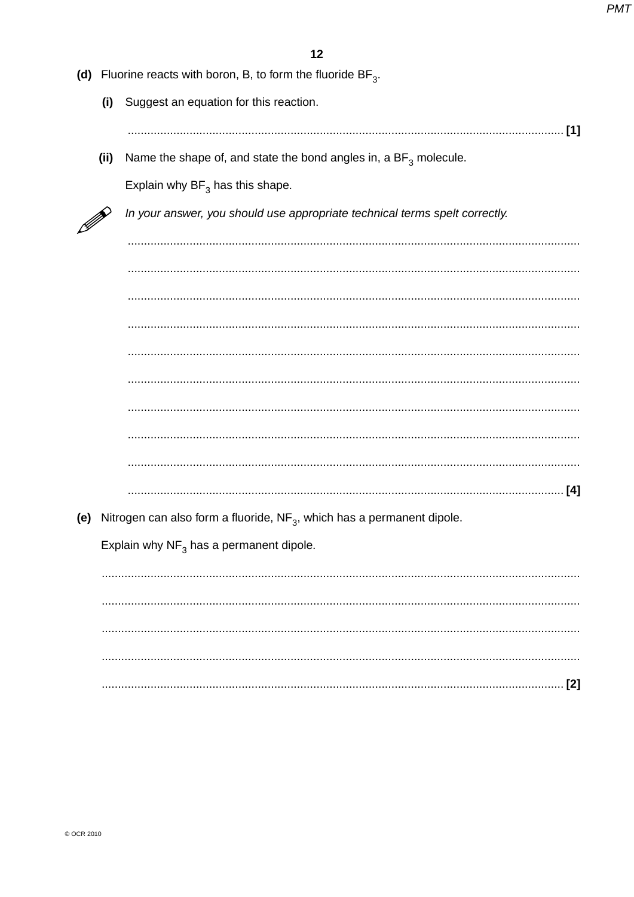|         |      | (d) Fluorine reacts with boron, B, to form the fluoride $BF_3$ .            |
|---------|------|-----------------------------------------------------------------------------|
|         | (i)  | Suggest an equation for this reaction.                                      |
|         |      |                                                                             |
|         | (ii) | Name the shape of, and state the bond angles in, a $BF_3$ molecule.         |
|         |      | Explain why $BF_3$ has this shape.                                          |
| M)<br>M |      | In your answer, you should use appropriate technical terms spelt correctly. |
|         |      |                                                                             |
|         |      |                                                                             |
|         |      |                                                                             |
|         |      |                                                                             |
|         |      |                                                                             |
|         |      |                                                                             |
|         |      |                                                                             |
|         |      |                                                                             |
|         |      |                                                                             |
| (e)     |      | Nitrogen can also form a fluoride, $NF_3$ , which has a permanent dipole.   |
|         |      | Explain why $NF_3$ has a permanent dipole.                                  |
|         |      |                                                                             |
|         |      |                                                                             |
|         |      |                                                                             |
|         |      |                                                                             |
|         |      | [2]                                                                         |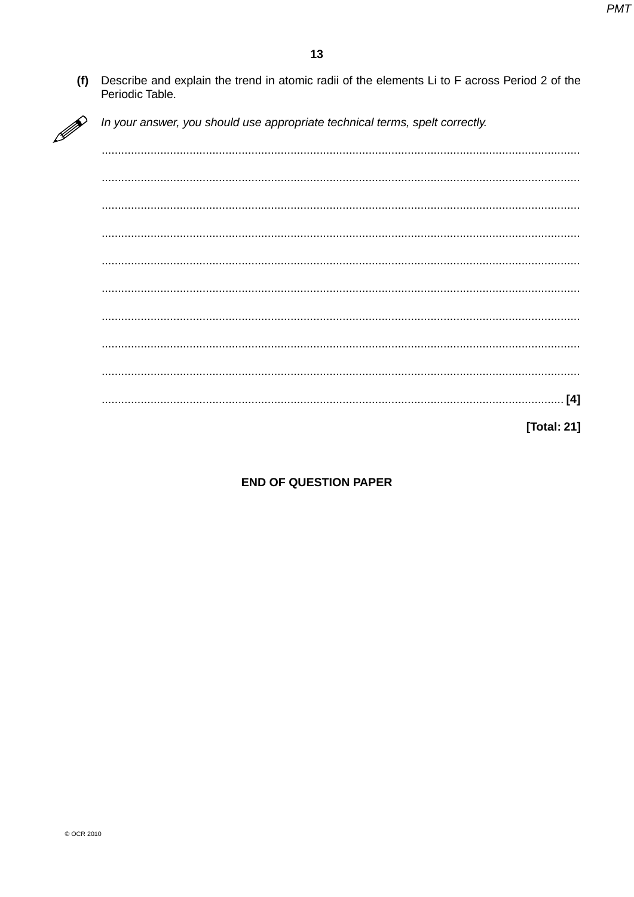$(f)$ Describe and explain the trend in atomic radii of the elements Li to F across Period 2 of the Periodic Table.

In your answer, you should use appropriate technical terms, spelt correctly.

**[Total: 21]** 

### **END OF QUESTION PAPER**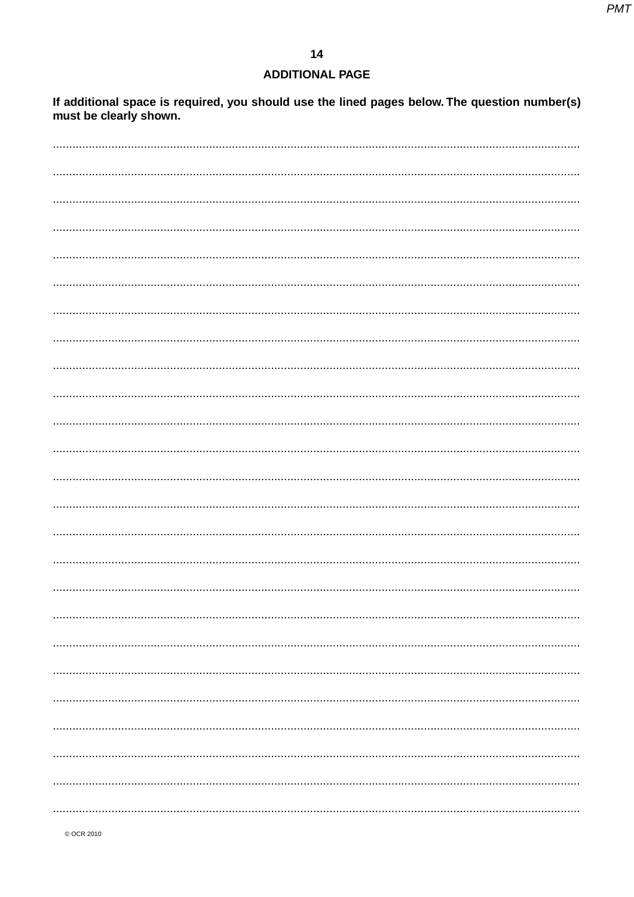# **ADDITIONAL PAGE**

If additional space is required, you should use the lined pages below. The question number(s)<br>must be clearly shown.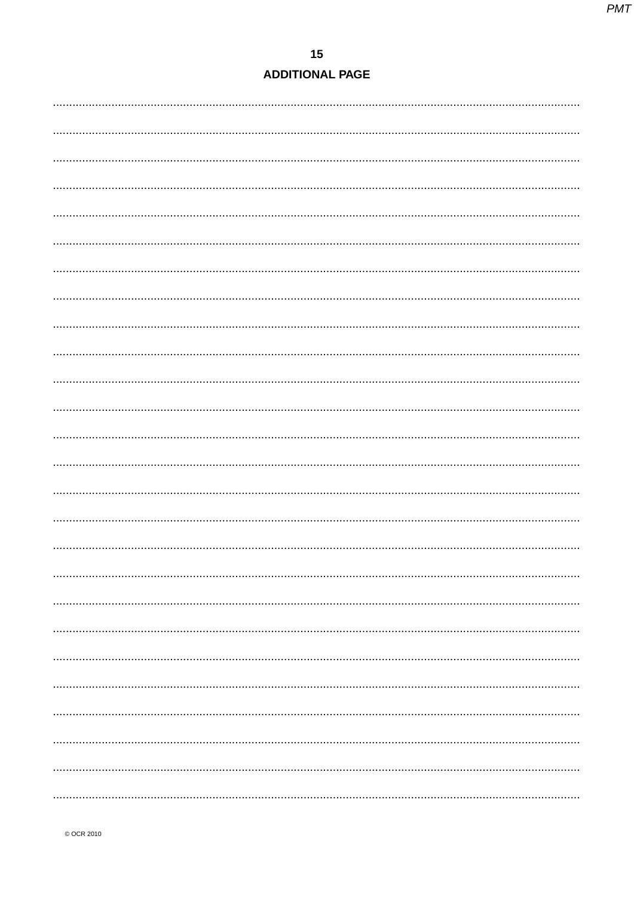# $15$ **ADDITIONAL PAGE**